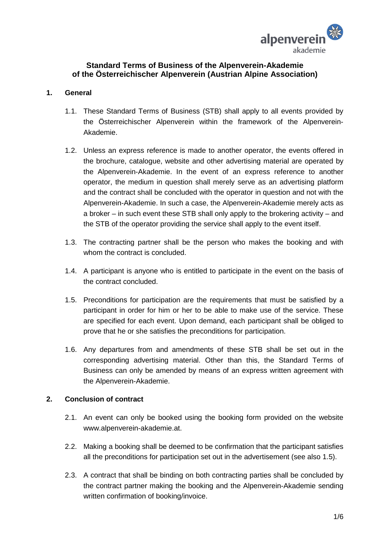

# **Standard Terms of Business of the Alpenverein-Akademie of the Österreichischer Alpenverein (Austrian Alpine Association)**

# **1. General**

- 1.1. These Standard Terms of Business (STB) shall apply to all events provided by the Österreichischer Alpenverein within the framework of the Alpenverein-Akademie.
- 1.2. Unless an express reference is made to another operator, the events offered in the brochure, catalogue, website and other advertising material are operated by the Alpenverein-Akademie. In the event of an express reference to another operator, the medium in question shall merely serve as an advertising platform and the contract shall be concluded with the operator in question and not with the Alpenverein-Akademie. In such a case, the Alpenverein-Akademie merely acts as a broker – in such event these STB shall only apply to the brokering activity – and the STB of the operator providing the service shall apply to the event itself.
- 1.3. The contracting partner shall be the person who makes the booking and with whom the contract is concluded.
- 1.4. A participant is anyone who is entitled to participate in the event on the basis of the contract concluded.
- 1.5. Preconditions for participation are the requirements that must be satisfied by a participant in order for him or her to be able to make use of the service. These are specified for each event. Upon demand, each participant shall be obliged to prove that he or she satisfies the preconditions for participation.
- 1.6. Any departures from and amendments of these STB shall be set out in the corresponding advertising material. Other than this, the Standard Terms of Business can only be amended by means of an express written agreement with the Alpenverein-Akademie.

# **2. Conclusion of contract**

- 2.1. An event can only be booked using the booking form provided on the website www.alpenverein-akademie.at.
- 2.2. Making a booking shall be deemed to be confirmation that the participant satisfies all the preconditions for participation set out in the advertisement (see also 1.5).
- 2.3. A contract that shall be binding on both contracting parties shall be concluded by the contract partner making the booking and the Alpenverein-Akademie sending written confirmation of booking/invoice.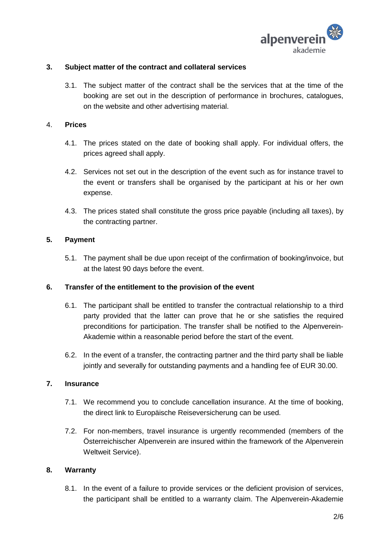

# **3. Subject matter of the contract and collateral services**

3.1. The subject matter of the contract shall be the services that at the time of the booking are set out in the description of performance in brochures, catalogues, on the website and other advertising material.

# 4. **Prices**

- 4.1. The prices stated on the date of booking shall apply. For individual offers, the prices agreed shall apply.
- 4.2. Services not set out in the description of the event such as for instance travel to the event or transfers shall be organised by the participant at his or her own expense.
- 4.3. The prices stated shall constitute the gross price payable (including all taxes), by the contracting partner.

# **5. Payment**

5.1. The payment shall be due upon receipt of the confirmation of booking/invoice, but at the latest 90 days before the event.

# **6. Transfer of the entitlement to the provision of the event**

- 6.1. The participant shall be entitled to transfer the contractual relationship to a third party provided that the latter can prove that he or she satisfies the required preconditions for participation. The transfer shall be notified to the Alpenverein-Akademie within a reasonable period before the start of the event.
- 6.2. In the event of a transfer, the contracting partner and the third party shall be liable jointly and severally for outstanding payments and a handling fee of EUR 30.00.

# **7. Insurance**

- 7.1. We recommend you to conclude cancellation insurance. At the time of booking, the direct link to Europäische Reiseversicherung can be used.
- 7.2. For non-members, travel insurance is urgently recommended (members of the Österreichischer Alpenverein are insured within the framework of the Alpenverein Weltweit Service).

# **8. Warranty**

8.1. In the event of a failure to provide services or the deficient provision of services, the participant shall be entitled to a warranty claim. The Alpenverein-Akademie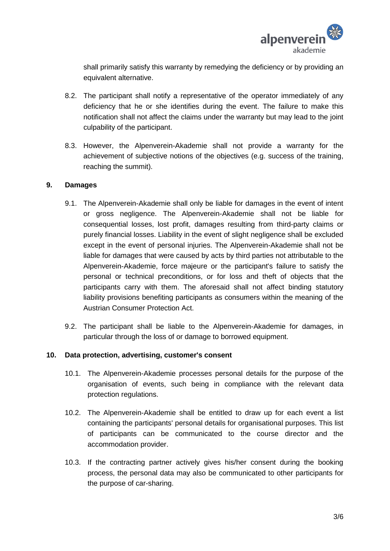

shall primarily satisfy this warranty by remedying the deficiency or by providing an equivalent alternative.

- 8.2. The participant shall notify a representative of the operator immediately of any deficiency that he or she identifies during the event. The failure to make this notification shall not affect the claims under the warranty but may lead to the joint culpability of the participant.
- 8.3. However, the Alpenverein-Akademie shall not provide a warranty for the achievement of subjective notions of the objectives (e.g. success of the training, reaching the summit).

# **9. Damages**

- 9.1. The Alpenverein-Akademie shall only be liable for damages in the event of intent or gross negligence. The Alpenverein-Akademie shall not be liable for consequential losses, lost profit, damages resulting from third-party claims or purely financial losses. Liability in the event of slight negligence shall be excluded except in the event of personal injuries. The Alpenverein-Akademie shall not be liable for damages that were caused by acts by third parties not attributable to the Alpenverein-Akademie, force majeure or the participant's failure to satisfy the personal or technical preconditions, or for loss and theft of objects that the participants carry with them. The aforesaid shall not affect binding statutory liability provisions benefiting participants as consumers within the meaning of the Austrian Consumer Protection Act.
- 9.2. The participant shall be liable to the Alpenverein-Akademie for damages, in particular through the loss of or damage to borrowed equipment.

# **10. Data protection, advertising, customer's consent**

- 10.1. The Alpenverein-Akademie processes personal details for the purpose of the organisation of events, such being in compliance with the relevant data protection regulations.
- 10.2. The Alpenverein-Akademie shall be entitled to draw up for each event a list containing the participants' personal details for organisational purposes. This list of participants can be communicated to the course director and the accommodation provider.
- 10.3. If the contracting partner actively gives his/her consent during the booking process, the personal data may also be communicated to other participants for the purpose of car-sharing.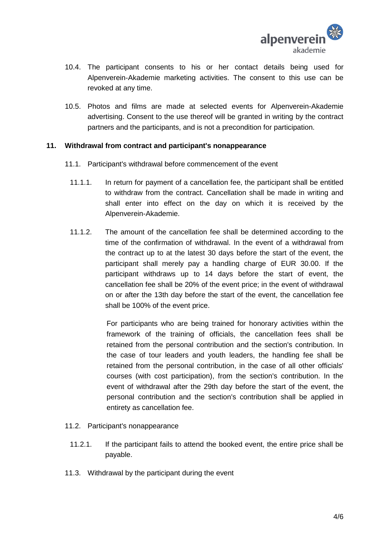

- 10.4. The participant consents to his or her contact details being used for Alpenverein-Akademie marketing activities. The consent to this use can be revoked at any time.
- 10.5. Photos and films are made at selected events for Alpenverein-Akademie advertising. Consent to the use thereof will be granted in writing by the contract partners and the participants, and is not a precondition for participation.

# **11. Withdrawal from contract and participant's nonappearance**

- 11.1. Participant's withdrawal before commencement of the event
	- 11.1.1. In return for payment of a cancellation fee, the participant shall be entitled to withdraw from the contract. Cancellation shall be made in writing and shall enter into effect on the day on which it is received by the Alpenverein-Akademie.
	- 11.1.2. The amount of the cancellation fee shall be determined according to the time of the confirmation of withdrawal. In the event of a withdrawal from the contract up to at the latest 30 days before the start of the event, the participant shall merely pay a handling charge of EUR 30.00. If the participant withdraws up to 14 days before the start of event, the cancellation fee shall be 20% of the event price; in the event of withdrawal on or after the 13th day before the start of the event, the cancellation fee shall be 100% of the event price.

For participants who are being trained for honorary activities within the framework of the training of officials, the cancellation fees shall be retained from the personal contribution and the section's contribution. In the case of tour leaders and youth leaders, the handling fee shall be retained from the personal contribution, in the case of all other officials' courses (with cost participation), from the section's contribution. In the event of withdrawal after the 29th day before the start of the event, the personal contribution and the section's contribution shall be applied in entirety as cancellation fee.

- 11.2. Participant's nonappearance
	- 11.2.1. If the participant fails to attend the booked event, the entire price shall be payable.
- 11.3. Withdrawal by the participant during the event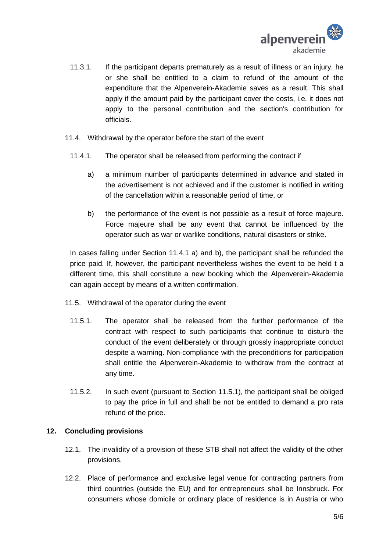

- 11.3.1. If the participant departs prematurely as a result of illness or an injury, he or she shall be entitled to a claim to refund of the amount of the expenditure that the Alpenverein-Akademie saves as a result. This shall apply if the amount paid by the participant cover the costs, i.e. it does not apply to the personal contribution and the section's contribution for officials.
- 11.4. Withdrawal by the operator before the start of the event
	- 11.4.1. The operator shall be released from performing the contract if
		- a) a minimum number of participants determined in advance and stated in the advertisement is not achieved and if the customer is notified in writing of the cancellation within a reasonable period of time, or
		- b) the performance of the event is not possible as a result of force majeure. Force majeure shall be any event that cannot be influenced by the operator such as war or warlike conditions, natural disasters or strike.

In cases falling under Section 11.4.1 a) and b), the participant shall be refunded the price paid. If, however, the participant nevertheless wishes the event to be held t a different time, this shall constitute a new booking which the Alpenverein-Akademie can again accept by means of a written confirmation.

- 11.5. Withdrawal of the operator during the event
	- 11.5.1. The operator shall be released from the further performance of the contract with respect to such participants that continue to disturb the conduct of the event deliberately or through grossly inappropriate conduct despite a warning. Non-compliance with the preconditions for participation shall entitle the Alpenverein-Akademie to withdraw from the contract at any time.
	- 11.5.2. In such event (pursuant to Section 11.5.1), the participant shall be obliged to pay the price in full and shall be not be entitled to demand a pro rata refund of the price.

# **12. Concluding provisions**

- 12.1. The invalidity of a provision of these STB shall not affect the validity of the other provisions.
- 12.2. Place of performance and exclusive legal venue for contracting partners from third countries (outside the EU) and for entrepreneurs shall be Innsbruck. For consumers whose domicile or ordinary place of residence is in Austria or who